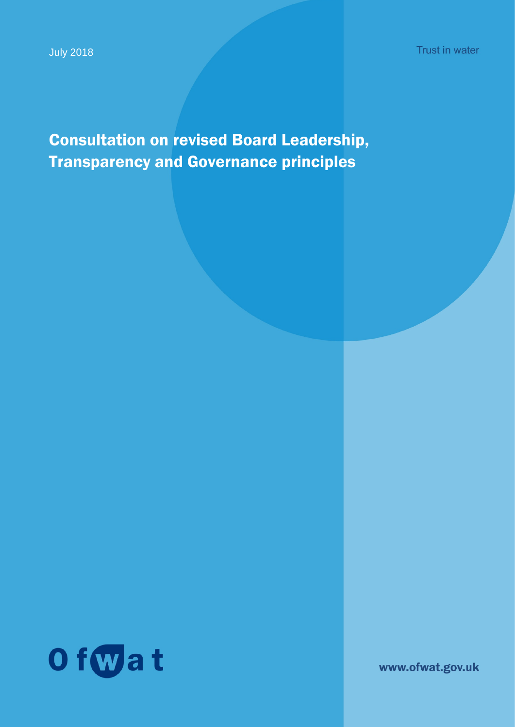Consultation on revised Board Leadership, Transparency and Governance principles



www.ofwat.gov.uk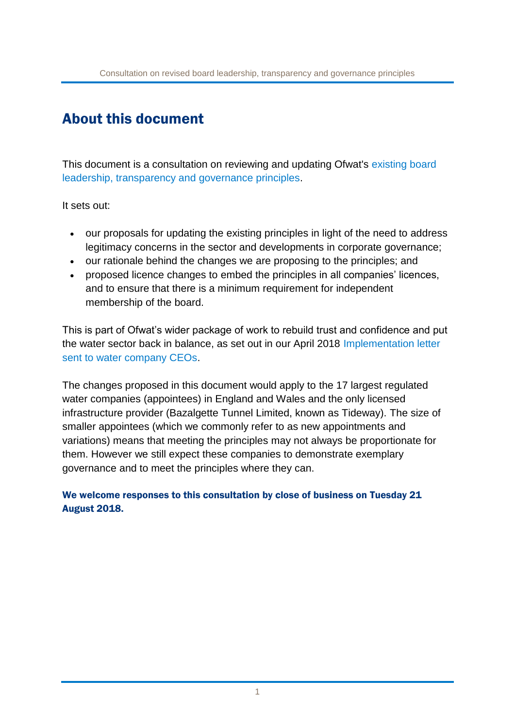# About this document

This document is a consultation on reviewing and updating Ofwat's [existing](https://www.ofwat.gov.uk/wp-content/uploads/2015/10/gud_pro20140131leadershipregco.pdf) board [leadership, transparency and governance principles.](https://www.ofwat.gov.uk/wp-content/uploads/2015/10/gud_pro20140131leadershipregco.pdf)

It sets out:

- our proposals for updating the existing principles in light of the need to address legitimacy concerns in the sector and developments in corporate governance;
- our rationale behind the changes we are proposing to the principles; and
- proposed licence changes to embed the principles in all companies' licences, and to ensure that there is a minimum requirement for independent membership of the board.

This is part of Ofwat's wider package of work to rebuild trust and confidence and put the water sector back in balance, as set out in our April 2018 [Implementation letter](https://www.ofwat.gov.uk/wp-content/uploads/2018/04/Implementation-letter-sent-to-water-company-CEOs-from-Rachel-Fletcher-13-April-2018.pdf)  [sent to water company CEOs.](https://www.ofwat.gov.uk/wp-content/uploads/2018/04/Implementation-letter-sent-to-water-company-CEOs-from-Rachel-Fletcher-13-April-2018.pdf)

The changes proposed in this document would apply to the 17 largest regulated water companies (appointees) in England and Wales and the only licensed infrastructure provider (Bazalgette Tunnel Limited, known as Tideway). The size of smaller appointees (which we commonly refer to as new appointments and variations) means that meeting the principles may not always be proportionate for them. However we still expect these companies to demonstrate exemplary governance and to meet the principles where they can.

We welcome responses to this consultation by close of business on Tuesday 21 August 2018.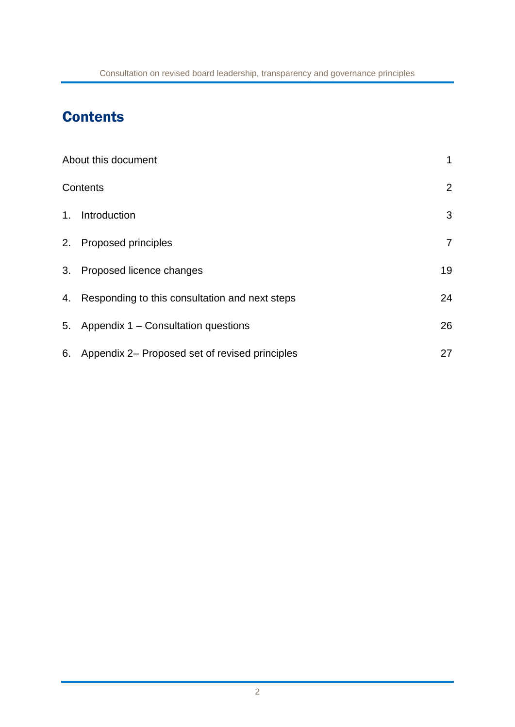# **Contents**

|    | About this document                               |                |  |
|----|---------------------------------------------------|----------------|--|
|    | Contents                                          | $\overline{2}$ |  |
| 1. | Introduction                                      | 3              |  |
|    | 2. Proposed principles                            | $\overline{7}$ |  |
|    | 3. Proposed licence changes                       | 19             |  |
|    | 4. Responding to this consultation and next steps | 24             |  |
|    | 5. Appendix 1 – Consultation questions            | 26             |  |
| 6. | Appendix 2– Proposed set of revised principles    | 27             |  |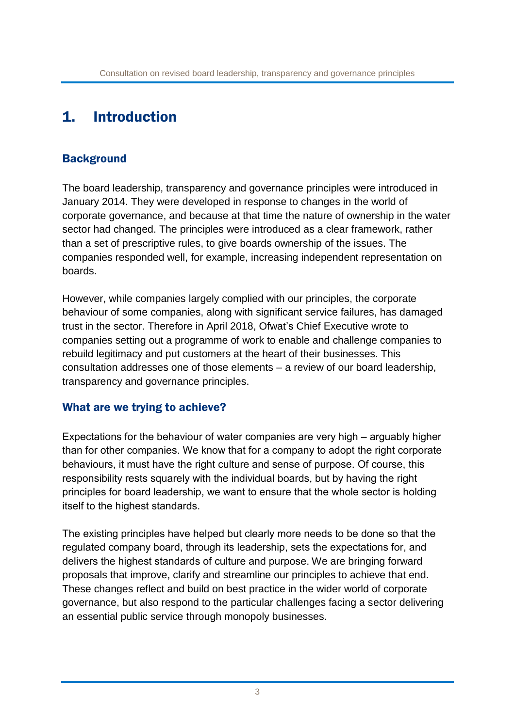## 1. Introduction

#### **Background**

The board leadership, transparency and governance principles were introduced in January 2014. They were developed in response to changes in the world of corporate governance, and because at that time the nature of ownership in the water sector had changed. The principles were introduced as a clear framework, rather than a set of prescriptive rules, to give boards ownership of the issues. The companies responded well, for example, increasing independent representation on boards.

However, while companies largely complied with our principles, the corporate behaviour of some companies, along with significant service failures, has damaged trust in the sector. Therefore in April 2018, Ofwat's Chief Executive wrote to companies setting out a programme of work to enable and challenge companies to rebuild legitimacy and put customers at the heart of their businesses. This consultation addresses one of those elements – a review of our board leadership, transparency and governance principles.

#### What are we trying to achieve?

Expectations for the behaviour of water companies are very high – arguably higher than for other companies. We know that for a company to adopt the right corporate behaviours, it must have the right culture and sense of purpose. Of course, this responsibility rests squarely with the individual boards, but by having the right principles for board leadership, we want to ensure that the whole sector is holding itself to the highest standards.

The existing principles have helped but clearly more needs to be done so that the regulated company board, through its leadership, sets the expectations for, and delivers the highest standards of culture and purpose. We are bringing forward proposals that improve, clarify and streamline our principles to achieve that end. These changes reflect and build on best practice in the wider world of corporate governance, but also respond to the particular challenges facing a sector delivering an essential public service through monopoly businesses.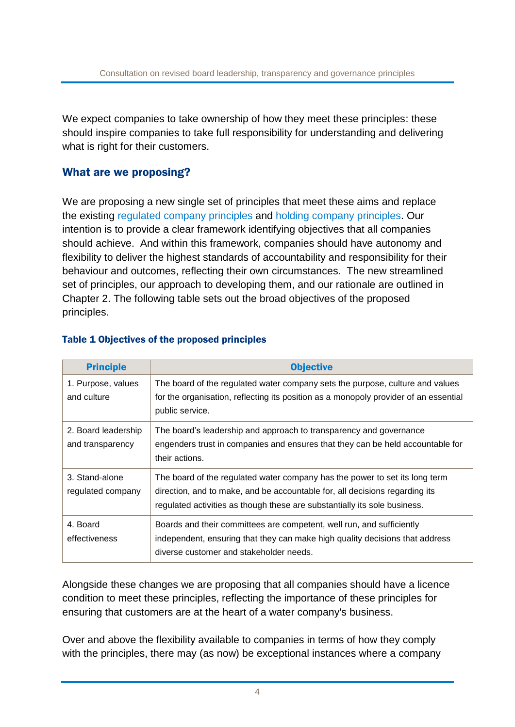We expect companies to take ownership of how they meet these principles: these should inspire companies to take full responsibility for understanding and delivering what is right for their customers.

#### What are we proposing?

We are proposing a new single set of principles that meet these aims and replace the existing [regulated company principles](https://www.ofwat.gov.uk/wp-content/uploads/2015/10/gud_pro20140131leadershipregco.pdf) and [holding company principles.](https://www.ofwat.gov.uk/wp-content/uploads/2015/10/gud_pro20140131leadershipholdco.pdf) Our intention is to provide a clear framework identifying objectives that all companies should achieve. And within this framework, companies should have autonomy and flexibility to deliver the highest standards of accountability and responsibility for their behaviour and outcomes, reflecting their own circumstances. The new streamlined set of principles, our approach to developing them, and our rationale are outlined in Chapter 2. The following table sets out the broad objectives of the proposed principles.

| <b>Principle</b>                        | <b>Objective</b>                                                                                                                                                                                                                        |
|-----------------------------------------|-----------------------------------------------------------------------------------------------------------------------------------------------------------------------------------------------------------------------------------------|
| 1. Purpose, values<br>and culture       | The board of the regulated water company sets the purpose, culture and values<br>for the organisation, reflecting its position as a monopoly provider of an essential<br>public service.                                                |
| 2. Board leadership<br>and transparency | The board's leadership and approach to transparency and governance<br>engenders trust in companies and ensures that they can be held accountable for<br>their actions.                                                                  |
| 3. Stand-alone<br>regulated company     | The board of the regulated water company has the power to set its long term<br>direction, and to make, and be accountable for, all decisions regarding its<br>regulated activities as though these are substantially its sole business. |
| 4. Board<br>effectiveness               | Boards and their committees are competent, well run, and sufficiently<br>independent, ensuring that they can make high quality decisions that address<br>diverse customer and stakeholder needs.                                        |

#### Table 1 Objectives of the proposed principles

Alongside these changes we are proposing that all companies should have a licence condition to meet these principles, reflecting the importance of these principles for ensuring that customers are at the heart of a water company's business.

Over and above the flexibility available to companies in terms of how they comply with the principles, there may (as now) be exceptional instances where a company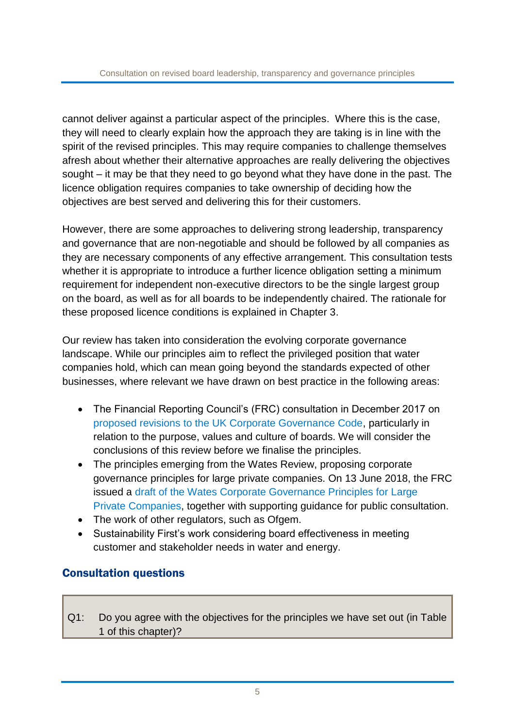cannot deliver against a particular aspect of the principles. Where this is the case, they will need to clearly explain how the approach they are taking is in line with the spirit of the revised principles. This may require companies to challenge themselves afresh about whether their alternative approaches are really delivering the objectives sought – it may be that they need to go beyond what they have done in the past. The licence obligation requires companies to take ownership of deciding how the objectives are best served and delivering this for their customers.

However, there are some approaches to delivering strong leadership, transparency and governance that are non-negotiable and should be followed by all companies as they are necessary components of any effective arrangement. This consultation tests whether it is appropriate to introduce a further licence obligation setting a minimum requirement for independent non-executive directors to be the single largest group on the board, as well as for all boards to be independently chaired. The rationale for these proposed licence conditions is explained in Chapter 3.

Our review has taken into consideration the evolving corporate governance landscape. While our principles aim to reflect the privileged position that water companies hold, which can mean going beyond the standards expected of other businesses, where relevant we have drawn on best practice in the following areas:

- The Financial Reporting Council's (FRC) consultation in December 2017 on [proposed revisions to the UK Corporate Governance Code,](https://www.frc.org.uk/getattachment/f7366d6f-aa57-4134-a409-1362d220445b/;.aspx) particularly in relation to the purpose, values and culture of boards. We will consider the conclusions of this review before we finalise the principles.
- The principles emerging from the Wates Review, proposing corporate governance principles for large private companies. On 13 June 2018, the FRC issued a draft of the [Wates Corporate Governance Principles for Large](https://www.frc.org.uk/consultation-list/2018/consultation-the-wates-corporate-governance-princ)  [Private Companies,](https://www.frc.org.uk/consultation-list/2018/consultation-the-wates-corporate-governance-princ) together with supporting guidance for public consultation.
- The work of other regulators, such as Ofgem.
- Sustainability First's work considering board effectiveness in meeting customer and stakeholder needs in water and energy.

### Consultation questions

Q1: Do you agree with the objectives for the principles we have set out (in Table 1 of this chapter)?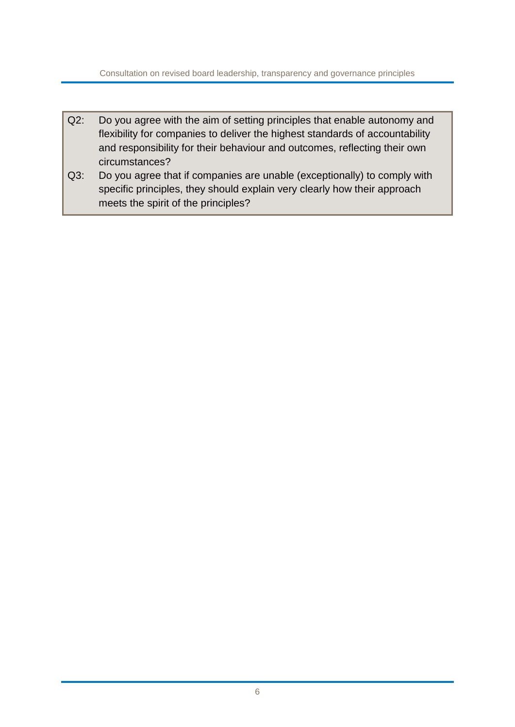Consultation on revised board leadership, transparency and governance principles

- Q2: Do you agree with the aim of setting principles that enable autonomy and flexibility for companies to deliver the highest standards of accountability and responsibility for their behaviour and outcomes, reflecting their own circumstances?
- Q3: Do you agree that if companies are unable (exceptionally) to comply with specific principles, they should explain very clearly how their approach meets the spirit of the principles?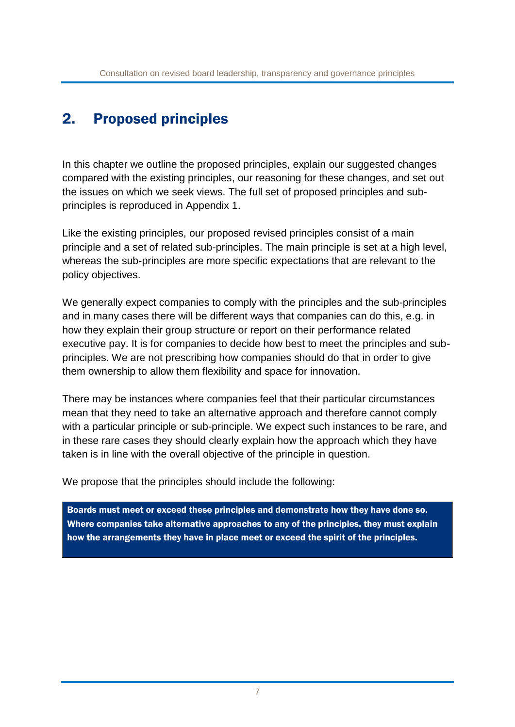# 2. Proposed principles

In this chapter we outline the proposed principles, explain our suggested changes compared with the existing principles, our reasoning for these changes, and set out the issues on which we seek views. The full set of proposed principles and subprinciples is reproduced in Appendix 1.

Like the existing principles, our proposed revised principles consist of a main principle and a set of related sub-principles. The main principle is set at a high level, whereas the sub-principles are more specific expectations that are relevant to the policy objectives.

We generally expect companies to comply with the principles and the sub-principles and in many cases there will be different ways that companies can do this, e.g. in how they explain their group structure or report on their performance related executive pay. It is for companies to decide how best to meet the principles and subprinciples. We are not prescribing how companies should do that in order to give them ownership to allow them flexibility and space for innovation.

There may be instances where companies feel that their particular circumstances mean that they need to take an alternative approach and therefore cannot comply with a particular principle or sub-principle. We expect such instances to be rare, and in these rare cases they should clearly explain how the approach which they have taken is in line with the overall objective of the principle in question.

We propose that the principles should include the following:

Boards must meet or exceed these principles and demonstrate how they have done so. Where companies take alternative approaches to any of the principles, they must explain how the arrangements they have in place meet or exceed the spirit of the principles.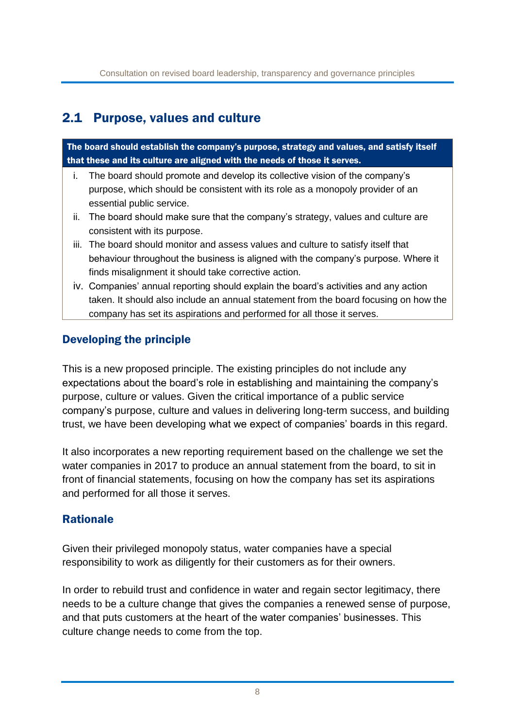## 2.1 Purpose, values and culture

The board should establish the company's purpose, strategy and values, and satisfy itself that these and its culture are aligned with the needs of those it serves.

- i. The board should promote and develop its collective vision of the company's purpose, which should be consistent with its role as a monopoly provider of an essential public service.
- ii. The board should make sure that the company's strategy, values and culture are consistent with its purpose.
- iii. The board should monitor and assess values and culture to satisfy itself that behaviour throughout the business is aligned with the company's purpose. Where it finds misalignment it should take corrective action.
- iv. Companies' annual reporting should explain the board's activities and any action taken. It should also include an annual statement from the board focusing on how the company has set its aspirations and performed for all those it serves.

### Developing the principle

This is a new proposed principle. The existing principles do not include any expectations about the board's role in establishing and maintaining the company's purpose, culture or values. Given the critical importance of a public service company's purpose, culture and values in delivering long-term success, and building trust, we have been developing what we expect of companies' boards in this regard.

It also incorporates a new reporting requirement based on the challenge we set the water companies in 2017 to produce an annual statement from the board, to sit in front of financial statements, focusing on how the company has set its aspirations and performed for all those it serves.

### **Rationale**

Given their privileged monopoly status, water companies have a special responsibility to work as diligently for their customers as for their owners.

In order to rebuild trust and confidence in water and regain sector legitimacy, there needs to be a culture change that gives the companies a renewed sense of purpose, and that puts customers at the heart of the water companies' businesses. This culture change needs to come from the top.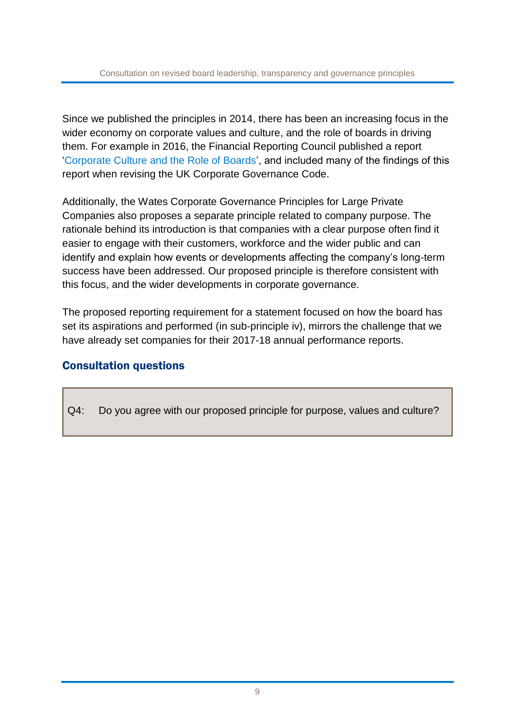Since we published the principles in 2014, there has been an increasing focus in the wider economy on corporate values and culture, and the role of boards in driving them. For example in 2016, the Financial Reporting Council published a report '[Corporate Culture and the Role of Boards](https://www.frc.org.uk/getattachment/3851b9c5-92d3-4695-aeb2-87c9052dc8c1/Corporate-Culture-and-the-Role-of-Boards-Report-of-Observations.pdf)', and included many of the findings of this report when revising the UK Corporate Governance Code.

Additionally, the Wates Corporate Governance Principles for Large Private Companies also proposes a separate principle related to company purpose. The rationale behind its introduction is that companies with a clear purpose often find it easier to engage with their customers, workforce and the wider public and can identify and explain how events or developments affecting the company's long-term success have been addressed. Our proposed principle is therefore consistent with this focus, and the wider developments in corporate governance.

The proposed reporting requirement for a statement focused on how the board has set its aspirations and performed (in sub-principle iv), mirrors the challenge that we have already set companies for their 2017-18 annual performance reports.

#### Consultation questions

Q4: Do you agree with our proposed principle for purpose, values and culture?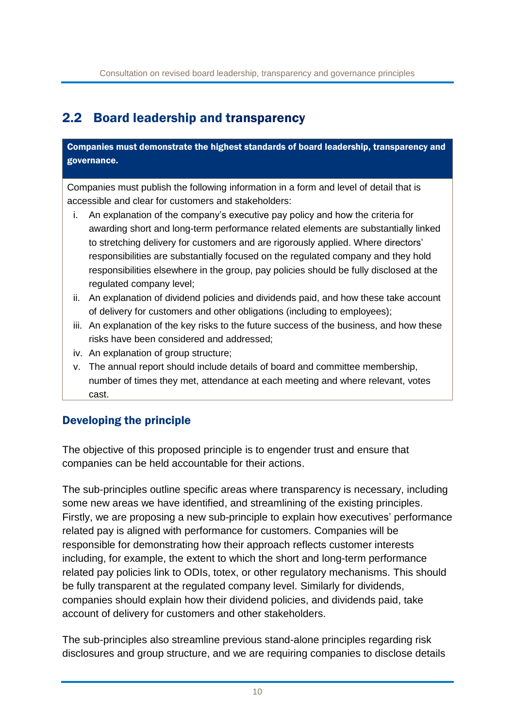## 2.2 Board leadership and transparency

Companies must demonstrate the highest standards of board leadership, transparency and governance.

Companies must publish the following information in a form and level of detail that is accessible and clear for customers and stakeholders:

- i. An explanation of the company's executive pay policy and how the criteria for awarding short and long-term performance related elements are substantially linked to stretching delivery for customers and are rigorously applied. Where directors' responsibilities are substantially focused on the regulated company and they hold responsibilities elsewhere in the group, pay policies should be fully disclosed at the regulated company level;
- ii. An explanation of dividend policies and dividends paid, and how these take account of delivery for customers and other obligations (including to employees);
- iii. An explanation of the key risks to the future success of the business, and how these risks have been considered and addressed;
- iv. An explanation of group structure;
- v. The annual report should include details of board and committee membership, number of times they met, attendance at each meeting and where relevant, votes cast.

### Developing the principle

The objective of this proposed principle is to engender trust and ensure that companies can be held accountable for their actions.

The sub-principles outline specific areas where transparency is necessary, including some new areas we have identified, and streamlining of the existing principles. Firstly, we are proposing a new sub-principle to explain how executives' performance related pay is aligned with performance for customers. Companies will be responsible for demonstrating how their approach reflects customer interests including, for example, the extent to which the short and long-term performance related pay policies link to ODIs, totex, or other regulatory mechanisms. This should be fully transparent at the regulated company level. Similarly for dividends, companies should explain how their dividend policies, and dividends paid, take account of delivery for customers and other stakeholders.

The sub-principles also streamline previous stand-alone principles regarding risk disclosures and group structure, and we are requiring companies to disclose details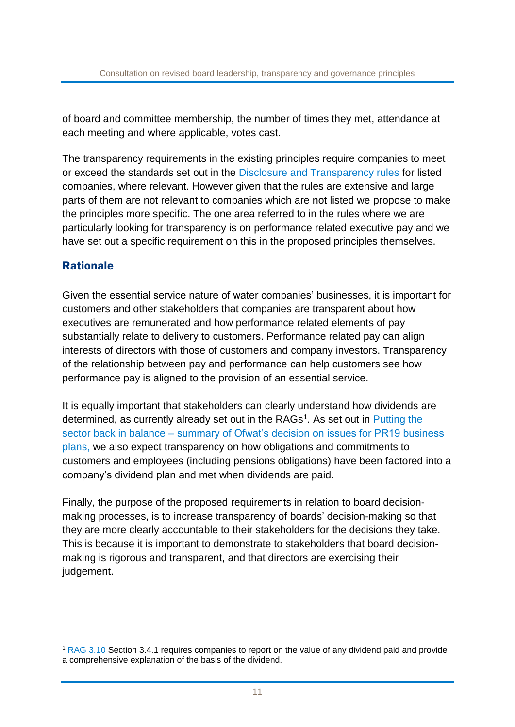of board and committee membership, the number of times they met, attendance at each meeting and where applicable, votes cast.

The transparency requirements in the existing principles require companies to meet or exceed the standards set out in the [Disclosure and Transparency rules](https://www.handbook.fca.org.uk/handbook/DTR.pdf) for listed companies, where relevant. However given that the rules are extensive and large parts of them are not relevant to companies which are not listed we propose to make the principles more specific. The one area referred to in the rules where we are particularly looking for transparency is on performance related executive pay and we have set out a specific requirement on this in the proposed principles themselves.

#### Rationale

<u>.</u>

Given the essential service nature of water companies' businesses, it is important for customers and other stakeholders that companies are transparent about how executives are remunerated and how performance related elements of pay substantially relate to delivery to customers. Performance related pay can align interests of directors with those of customers and company investors. Transparency of the relationship between pay and performance can help customers see how performance pay is aligned to the provision of an essential service.

It is equally important that stakeholders can clearly understand how dividends are determined, as currently already set out in the RAGs<sup>1</sup>. As set out in Putting the sector back in balance – [summary of Ofwat's decision on issues for PR19 business](https://www.ofwat.gov.uk/publication/putting-sector-back-balance-summary-ofwats-decision-issues-pr19-business-plans/)  [plans,](https://www.ofwat.gov.uk/publication/putting-sector-back-balance-summary-ofwats-decision-issues-pr19-business-plans/) we also expect transparency on how obligations and commitments to customers and employees (including pensions obligations) have been factored into a company's dividend plan and met when dividends are paid.

Finally, the purpose of the proposed requirements in relation to board decisionmaking processes, is to increase transparency of boards' decision-making so that they are more clearly accountable to their stakeholders for the decisions they take. This is because it is important to demonstrate to stakeholders that board decisionmaking is rigorous and transparent, and that directors are exercising their judgement.

<sup>1</sup> [RAG 3.10](https://www.ofwat.gov.uk/wp-content/uploads/2017/11/RAG-3.10-Guideline-for-the-format-and-disclosures-for-the-annual-performance-report-1.pdf) Section 3.4.1 requires companies to report on the value of any dividend paid and provide a comprehensive explanation of the basis of the dividend.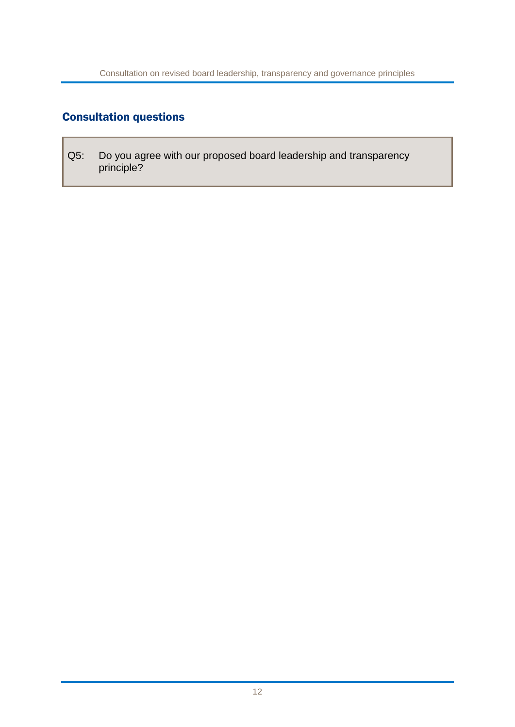## Consultation questions

Q5: Do you agree with our proposed board leadership and transparency principle?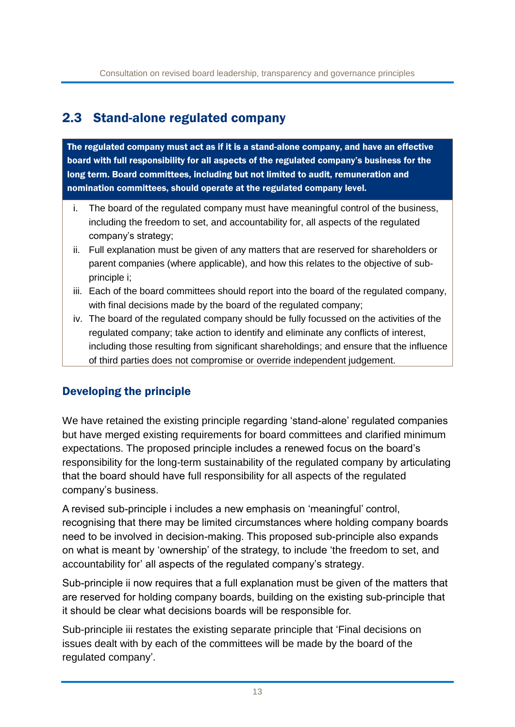## 2.3 Stand-alone regulated company

The regulated company must act as if it is a stand-alone company, and have an effective board with full responsibility for all aspects of the regulated company's business for the long term. Board committees, including but not limited to audit, remuneration and nomination committees, should operate at the regulated company level.

- i. The board of the regulated company must have meaningful control of the business, including the freedom to set, and accountability for, all aspects of the regulated company's strategy;
- ii. Full explanation must be given of any matters that are reserved for shareholders or parent companies (where applicable), and how this relates to the objective of subprinciple i;
- iii. Each of the board committees should report into the board of the regulated company, with final decisions made by the board of the regulated company;
- iv. The board of the regulated company should be fully focussed on the activities of the regulated company; take action to identify and eliminate any conflicts of interest, including those resulting from significant shareholdings; and ensure that the influence of third parties does not compromise or override independent judgement.

### Developing the principle

We have retained the existing principle regarding 'stand-alone' regulated companies but have merged existing requirements for board committees and clarified minimum expectations. The proposed principle includes a renewed focus on the board's responsibility for the long-term sustainability of the regulated company by articulating that the board should have full responsibility for all aspects of the regulated company's business.

A revised sub-principle i includes a new emphasis on 'meaningful' control, recognising that there may be limited circumstances where holding company boards need to be involved in decision-making. This proposed sub-principle also expands on what is meant by 'ownership' of the strategy, to include 'the freedom to set, and accountability for' all aspects of the regulated company's strategy.

Sub-principle ii now requires that a full explanation must be given of the matters that are reserved for holding company boards, building on the existing sub-principle that it should be clear what decisions boards will be responsible for.

Sub-principle iii restates the existing separate principle that 'Final decisions on issues dealt with by each of the committees will be made by the board of the regulated company'.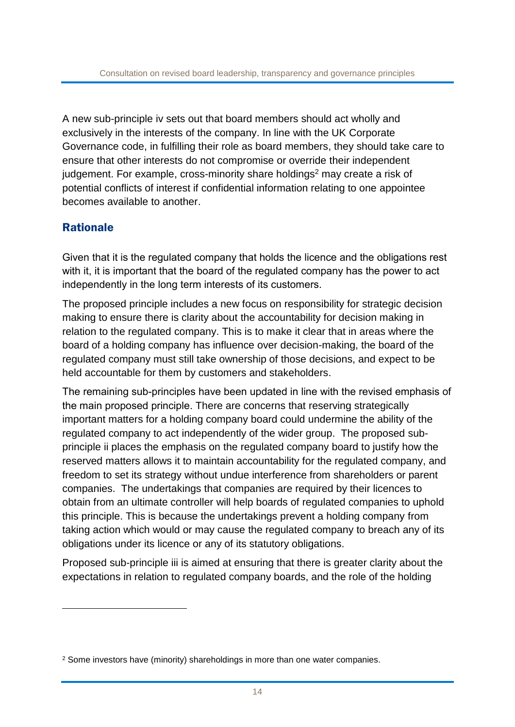A new sub-principle iv sets out that board members should act wholly and exclusively in the interests of the company. In line with the UK Corporate Governance code, in fulfilling their role as board members, they should take care to ensure that other interests do not compromise or override their independent judgement. For example, cross-minority share holdings<sup>2</sup> may create a risk of potential conflicts of interest if confidential information relating to one appointee becomes available to another.

#### Rationale

<u>.</u>

Given that it is the regulated company that holds the licence and the obligations rest with it, it is important that the board of the regulated company has the power to act independently in the long term interests of its customers.

The proposed principle includes a new focus on responsibility for strategic decision making to ensure there is clarity about the accountability for decision making in relation to the regulated company. This is to make it clear that in areas where the board of a holding company has influence over decision-making, the board of the regulated company must still take ownership of those decisions, and expect to be held accountable for them by customers and stakeholders.

The remaining sub-principles have been updated in line with the revised emphasis of the main proposed principle. There are concerns that reserving strategically important matters for a holding company board could undermine the ability of the regulated company to act independently of the wider group. The proposed subprinciple ii places the emphasis on the regulated company board to justify how the reserved matters allows it to maintain accountability for the regulated company, and freedom to set its strategy without undue interference from shareholders or parent companies. The undertakings that companies are required by their licences to obtain from an ultimate controller will help boards of regulated companies to uphold this principle. This is because the undertakings prevent a holding company from taking action which would or may cause the regulated company to breach any of its obligations under its licence or any of its statutory obligations.

Proposed sub-principle iii is aimed at ensuring that there is greater clarity about the expectations in relation to regulated company boards, and the role of the holding

<sup>&</sup>lt;sup>2</sup> Some investors have (minority) shareholdings in more than one water companies.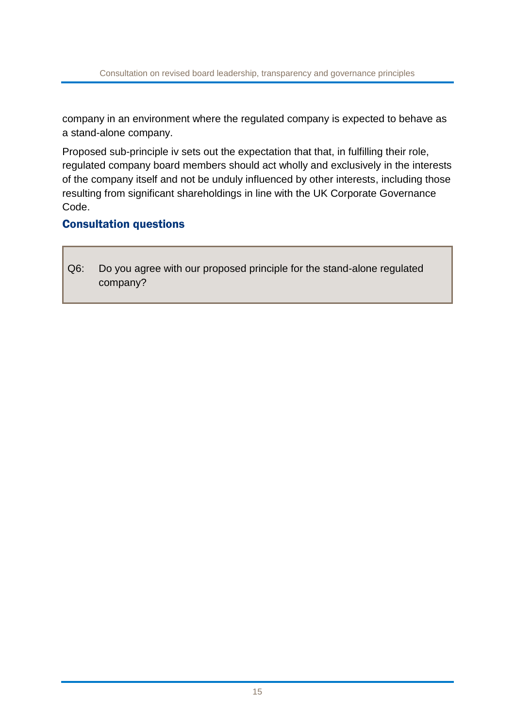company in an environment where the regulated company is expected to behave as a stand-alone company.

Proposed sub-principle iv sets out the expectation that that, in fulfilling their role, regulated company board members should act wholly and exclusively in the interests of the company itself and not be unduly influenced by other interests, including those resulting from significant shareholdings in line with the UK Corporate Governance Code.

#### Consultation questions

Q6: Do you agree with our proposed principle for the stand-alone regulated company?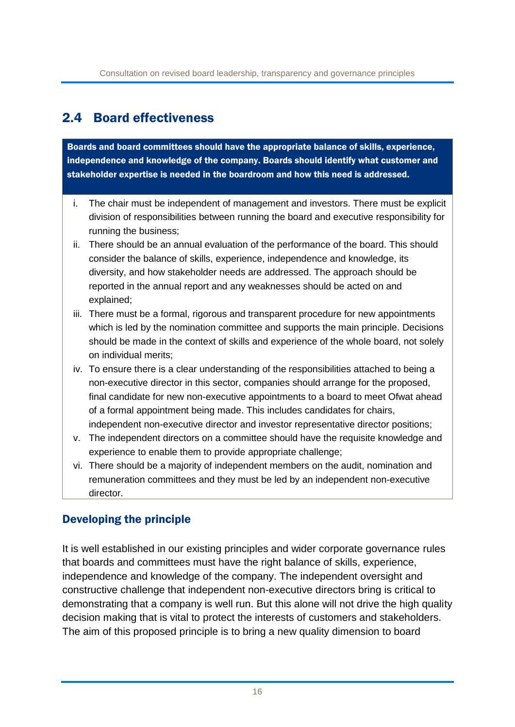## 2.4 Board effectiveness

Boards and board committees should have the appropriate balance of skills, experience, independence and knowledge of the company. Boards should identify what customer and stakeholder expertise is needed in the boardroom and how this need is addressed.

- i. The chair must be independent of management and investors. There must be explicit division of responsibilities between running the board and executive responsibility for running the business;
- ii. There should be an annual evaluation of the performance of the board. This should consider the balance of skills, experience, independence and knowledge, its diversity, and how stakeholder needs are addressed. The approach should be reported in the annual report and any weaknesses should be acted on and explained;
- iii. There must be a formal, rigorous and transparent procedure for new appointments which is led by the nomination committee and supports the main principle. Decisions should be made in the context of skills and experience of the whole board, not solely on individual merits;
- iv. To ensure there is a clear understanding of the responsibilities attached to being a non-executive director in this sector, companies should arrange for the proposed, final candidate for new non-executive appointments to a board to meet Ofwat ahead of a formal appointment being made. This includes candidates for chairs, independent non-executive director and investor representative director positions;
- v. The independent directors on a committee should have the requisite knowledge and experience to enable them to provide appropriate challenge;
- vi. There should be a majority of independent members on the audit, nomination and remuneration committees and they must be led by an independent non-executive director.

### Developing the principle

It is well established in our existing principles and wider corporate governance rules that boards and committees must have the right balance of skills, experience, independence and knowledge of the company. The independent oversight and constructive challenge that independent non-executive directors bring is critical to demonstrating that a company is well run. But this alone will not drive the high quality decision making that is vital to protect the interests of customers and stakeholders. The aim of this proposed principle is to bring a new quality dimension to board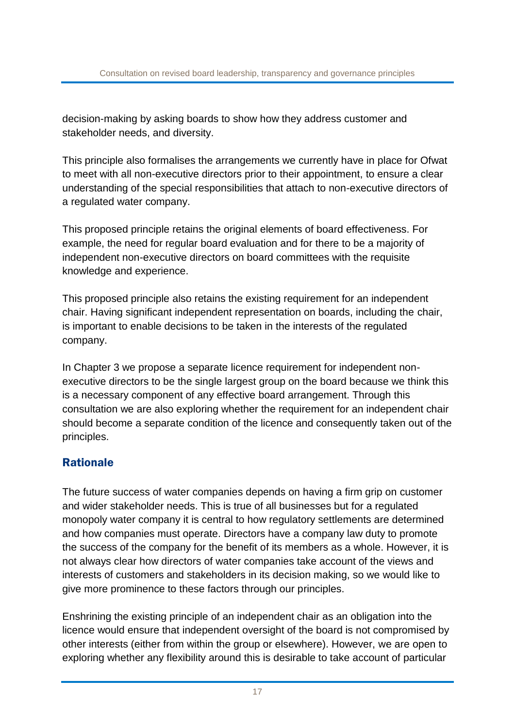decision-making by asking boards to show how they address customer and stakeholder needs, and diversity.

This principle also formalises the arrangements we currently have in place for Ofwat to meet with all non-executive directors prior to their appointment, to ensure a clear understanding of the special responsibilities that attach to non-executive directors of a regulated water company.

This proposed principle retains the original elements of board effectiveness. For example, the need for regular board evaluation and for there to be a majority of independent non-executive directors on board committees with the requisite knowledge and experience.

This proposed principle also retains the existing requirement for an independent chair. Having significant independent representation on boards, including the chair, is important to enable decisions to be taken in the interests of the regulated company.

In Chapter 3 we propose a separate licence requirement for independent nonexecutive directors to be the single largest group on the board because we think this is a necessary component of any effective board arrangement. Through this consultation we are also exploring whether the requirement for an independent chair should become a separate condition of the licence and consequently taken out of the principles.

### Rationale

The future success of water companies depends on having a firm grip on customer and wider stakeholder needs. This is true of all businesses but for a regulated monopoly water company it is central to how regulatory settlements are determined and how companies must operate. Directors have a company law duty to promote the success of the company for the benefit of its members as a whole. However, it is not always clear how directors of water companies take account of the views and interests of customers and stakeholders in its decision making, so we would like to give more prominence to these factors through our principles.

Enshrining the existing principle of an independent chair as an obligation into the licence would ensure that independent oversight of the board is not compromised by other interests (either from within the group or elsewhere). However, we are open to exploring whether any flexibility around this is desirable to take account of particular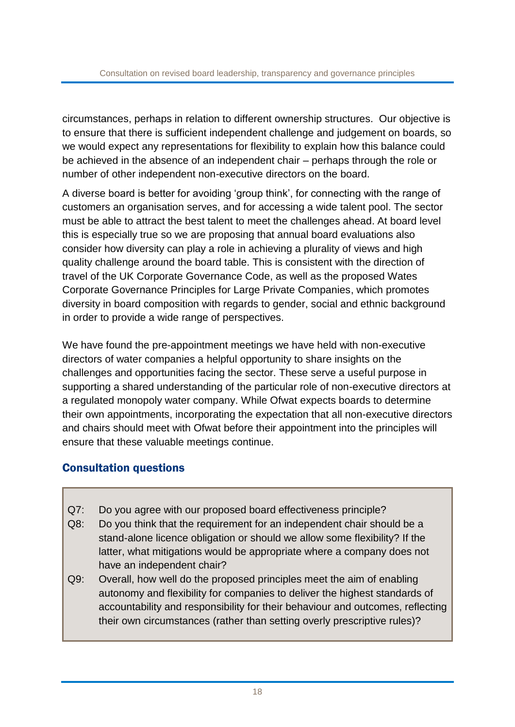circumstances, perhaps in relation to different ownership structures. Our objective is to ensure that there is sufficient independent challenge and judgement on boards, so we would expect any representations for flexibility to explain how this balance could be achieved in the absence of an independent chair – perhaps through the role or number of other independent non-executive directors on the board.

A diverse board is better for avoiding 'group think', for connecting with the range of customers an organisation serves, and for accessing a wide talent pool. The sector must be able to attract the best talent to meet the challenges ahead. At board level this is especially true so we are proposing that annual board evaluations also consider how diversity can play a role in achieving a plurality of views and high quality challenge around the board table. This is consistent with the direction of travel of the UK Corporate Governance Code, as well as the proposed Wates Corporate Governance Principles for Large Private Companies, which promotes diversity in board composition with regards to gender, social and ethnic background in order to provide a wide range of perspectives.

We have found the pre-appointment meetings we have held with non-executive directors of water companies a helpful opportunity to share insights on the challenges and opportunities facing the sector. These serve a useful purpose in supporting a shared understanding of the particular role of non-executive directors at a regulated monopoly water company. While Ofwat expects boards to determine their own appointments, incorporating the expectation that all non-executive directors and chairs should meet with Ofwat before their appointment into the principles will ensure that these valuable meetings continue.

### Consultation questions

- Q7: Do you agree with our proposed board effectiveness principle?
- Q8: Do you think that the requirement for an independent chair should be a stand-alone licence obligation or should we allow some flexibility? If the latter, what mitigations would be appropriate where a company does not have an independent chair?
- Q9: Overall, how well do the proposed principles meet the aim of enabling autonomy and flexibility for companies to deliver the highest standards of accountability and responsibility for their behaviour and outcomes, reflecting their own circumstances (rather than setting overly prescriptive rules)?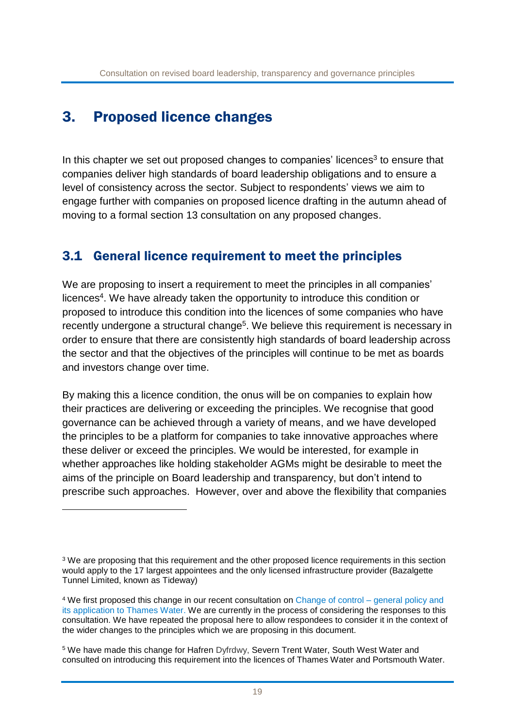# 3. Proposed licence changes

<u>.</u>

In this chapter we set out proposed changes to companies' licences<sup>3</sup> to ensure that companies deliver high standards of board leadership obligations and to ensure a level of consistency across the sector. Subject to respondents' views we aim to engage further with companies on proposed licence drafting in the autumn ahead of moving to a formal section 13 consultation on any proposed changes.

### 3.1 General licence requirement to meet the principles

We are proposing to insert a requirement to meet the principles in all companies' licences<sup>4</sup>. We have already taken the opportunity to introduce this condition or proposed to introduce this condition into the licences of some companies who have recently undergone a structural change<sup>5</sup>. We believe this requirement is necessary in order to ensure that there are consistently high standards of board leadership across the sector and that the objectives of the principles will continue to be met as boards and investors change over time.

By making this a licence condition, the onus will be on companies to explain how their practices are delivering or exceeding the principles. We recognise that good governance can be achieved through a variety of means, and we have developed the principles to be a platform for companies to take innovative approaches where these deliver or exceed the principles. We would be interested, for example in whether approaches like holding stakeholder AGMs might be desirable to meet the aims of the principle on Board leadership and transparency, but don't intend to prescribe such approaches. However, over and above the flexibility that companies

<sup>&</sup>lt;sup>3</sup> We are proposing that this requirement and the other proposed licence requirements in this section would apply to the 17 largest appointees and the only licensed infrastructure provider (Bazalgette Tunnel Limited, known as Tideway)

<sup>4</sup> We first proposed this change in our recent consultation on Change of control – [general policy and](https://www.ofwat.gov.uk/wp-content/uploads/2018/05/Change-of-control-general-policy-and-its-application-to-Thames-Water-final.pdf)  [its application to Thames Water.](https://www.ofwat.gov.uk/wp-content/uploads/2018/05/Change-of-control-general-policy-and-its-application-to-Thames-Water-final.pdf) We are currently in the process of considering the responses to this consultation. We have repeated the proposal here to allow respondees to consider it in the context of the wider changes to the principles which we are proposing in this document.

<sup>5</sup> We have made this change for Hafren Dyfrdwy, Severn Trent Water, South West Water and consulted on introducing this requirement into the licences of Thames Water and Portsmouth Water.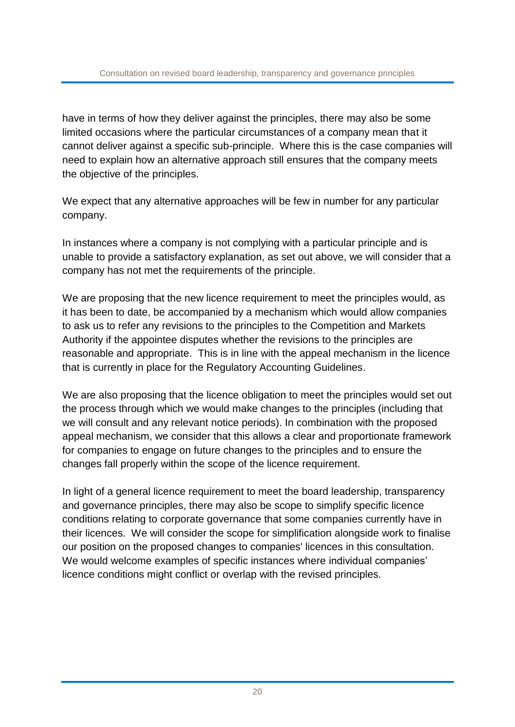have in terms of how they deliver against the principles, there may also be some limited occasions where the particular circumstances of a company mean that it cannot deliver against a specific sub-principle. Where this is the case companies will need to explain how an alternative approach still ensures that the company meets the objective of the principles.

We expect that any alternative approaches will be few in number for any particular company.

In instances where a company is not complying with a particular principle and is unable to provide a satisfactory explanation, as set out above, we will consider that a company has not met the requirements of the principle.

We are proposing that the new licence requirement to meet the principles would, as it has been to date, be accompanied by a mechanism which would allow companies to ask us to refer any revisions to the principles to the Competition and Markets Authority if the appointee disputes whether the revisions to the principles are reasonable and appropriate. This is in line with the appeal mechanism in the licence that is currently in place for the Regulatory Accounting Guidelines.

We are also proposing that the licence obligation to meet the principles would set out the process through which we would make changes to the principles (including that we will consult and any relevant notice periods). In combination with the proposed appeal mechanism, we consider that this allows a clear and proportionate framework for companies to engage on future changes to the principles and to ensure the changes fall properly within the scope of the licence requirement.

In light of a general licence requirement to meet the board leadership, transparency and governance principles, there may also be scope to simplify specific licence conditions relating to corporate governance that some companies currently have in their licences. We will consider the scope for simplification alongside work to finalise our position on the proposed changes to companies' licences in this consultation. We would welcome examples of specific instances where individual companies' licence conditions might conflict or overlap with the revised principles.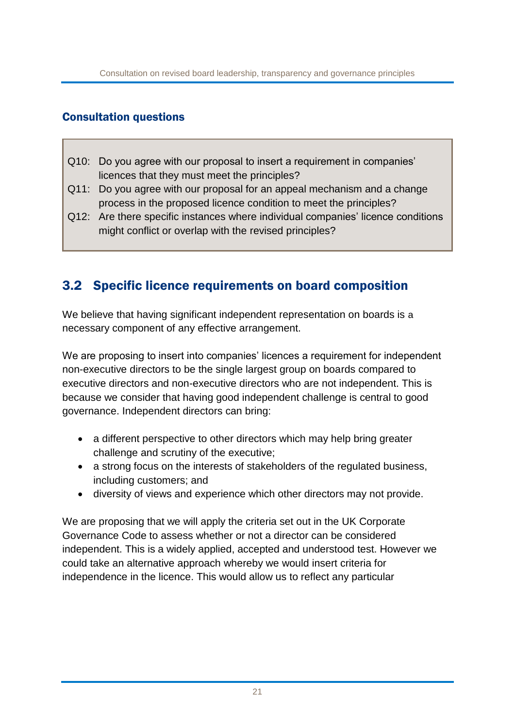#### Consultation questions

- Q10: Do you agree with our proposal to insert a requirement in companies' licences that they must meet the principles?
- Q11: Do you agree with our proposal for an appeal mechanism and a change process in the proposed licence condition to meet the principles?
- Q12: Are there specific instances where individual companies' licence conditions might conflict or overlap with the revised principles?

## 3.2 Specific licence requirements on board composition

We believe that having significant independent representation on boards is a necessary component of any effective arrangement.

We are proposing to insert into companies' licences a requirement for independent non-executive directors to be the single largest group on boards compared to executive directors and non-executive directors who are not independent. This is because we consider that having good independent challenge is central to good governance. Independent directors can bring:

- a different perspective to other directors which may help bring greater challenge and scrutiny of the executive;
- a strong focus on the interests of stakeholders of the regulated business, including customers; and
- diversity of views and experience which other directors may not provide.

We are proposing that we will apply the criteria set out in the UK Corporate Governance Code to assess whether or not a director can be considered independent. This is a widely applied, accepted and understood test. However we could take an alternative approach whereby we would insert criteria for independence in the licence. This would allow us to reflect any particular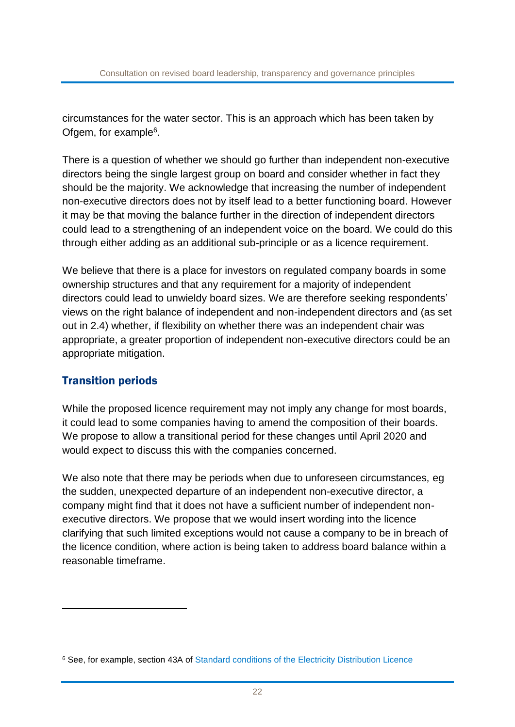circumstances for the water sector. This is an approach which has been taken by Ofgem, for example<sup>6</sup>.

There is a question of whether we should go further than independent non-executive directors being the single largest group on board and consider whether in fact they should be the majority. We acknowledge that increasing the number of independent non-executive directors does not by itself lead to a better functioning board. However it may be that moving the balance further in the direction of independent directors could lead to a strengthening of an independent voice on the board. We could do this through either adding as an additional sub-principle or as a licence requirement.

We believe that there is a place for investors on regulated company boards in some ownership structures and that any requirement for a majority of independent directors could lead to unwieldy board sizes. We are therefore seeking respondents' views on the right balance of independent and non-independent directors and (as set out in 2.4) whether, if flexibility on whether there was an independent chair was appropriate, a greater proportion of independent non-executive directors could be an appropriate mitigation.

### Transition periods

<u>.</u>

While the proposed licence requirement may not imply any change for most boards, it could lead to some companies having to amend the composition of their boards. We propose to allow a transitional period for these changes until April 2020 and would expect to discuss this with the companies concerned.

We also note that there may be periods when due to unforeseen circumstances, eg the sudden, unexpected departure of an independent non-executive director, a company might find that it does not have a sufficient number of independent nonexecutive directors. We propose that we would insert wording into the licence clarifying that such limited exceptions would not cause a company to be in breach of the licence condition, where action is being taken to address board balance within a reasonable timeframe.

<sup>&</sup>lt;sup>6</sup> See, for example, section 43A of [Standard conditions of the Electricity Distribution Licence](https://epr.ofgem.gov.uk/Content/Documents/Electricity%20Distribution%20Consolidated%20Standard%20Licence%20Conditions%20-%20Current%20Version.pdf)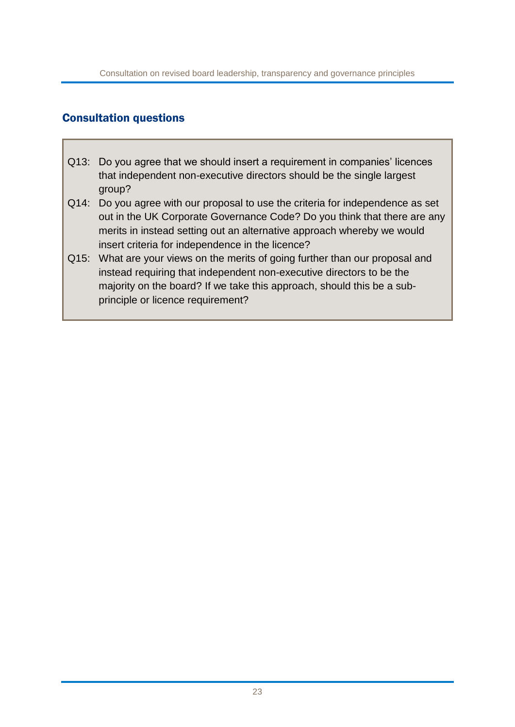#### Consultation questions

- Q13: Do you agree that we should insert a requirement in companies' licences that independent non-executive directors should be the single largest group?
- Q14: Do you agree with our proposal to use the criteria for independence as set out in the UK Corporate Governance Code? Do you think that there are any merits in instead setting out an alternative approach whereby we would insert criteria for independence in the licence?
- Q15: What are your views on the merits of going further than our proposal and instead requiring that independent non-executive directors to be the majority on the board? If we take this approach, should this be a subprinciple or licence requirement?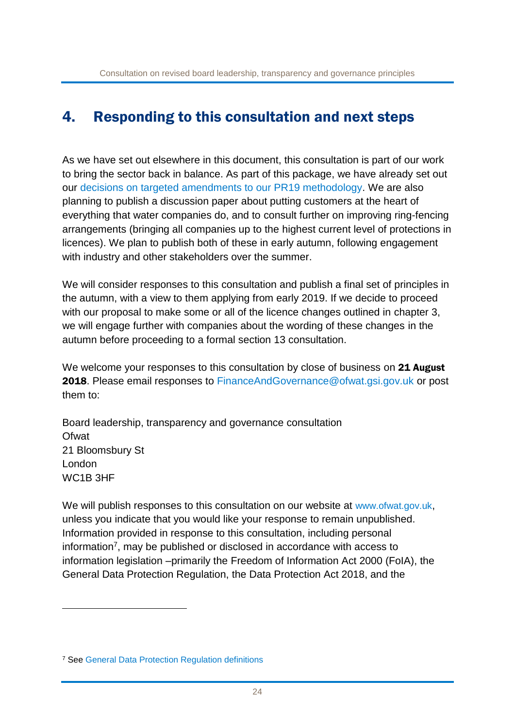## 4. Responding to this consultation and next steps

As we have set out elsewhere in this document, this consultation is part of our work to bring the sector back in balance. As part of this package, we have already set out our [decisions](https://www.ofwat.gov.uk/wp-content/uploads/2018/07/Benefit-sharing-decision-statement-FINAL-for-publishing.pdf) on targeted amendments to our PR19 methodology. We are also planning to publish a discussion paper about putting customers at the heart of everything that water companies do, and to consult further on improving ring-fencing arrangements (bringing all companies up to the highest current level of protections in licences). We plan to publish both of these in early autumn, following engagement with industry and other stakeholders over the summer.

We will consider responses to this consultation and publish a final set of principles in the autumn, with a view to them applying from early 2019. If we decide to proceed with our proposal to make some or all of the licence changes outlined in chapter 3, we will engage further with companies about the wording of these changes in the autumn before proceeding to a formal section 13 consultation.

We welcome your responses to this consultation by close of business on 21 August 2018. Please email responses to [FinanceAndGovernance@ofwat.gsi.gov.uk](mailto:FinanceAndGovernance@ofwat.gsi.gov.uk) or post them to:

Board leadership, transparency and governance consultation **Ofwat** 21 Bloomsbury St London WC1B 3HF

We will publish responses to this consultation on our website at [www.ofwat.gov.uk](http://www.ofwat.gov.uk/). unless you indicate that you would like your response to remain unpublished. Information provided in response to this consultation, including personal information<sup>7</sup>, may be published or disclosed in accordance with access to information legislation –primarily the Freedom of Information Act 2000 (FoIA), the General Data Protection Regulation, the Data Protection Act 2018, and the

<u>.</u>

<sup>7</sup> See [General Data Protection Regulation definitions](https://gdpr-info.eu/art-4-gdpr/)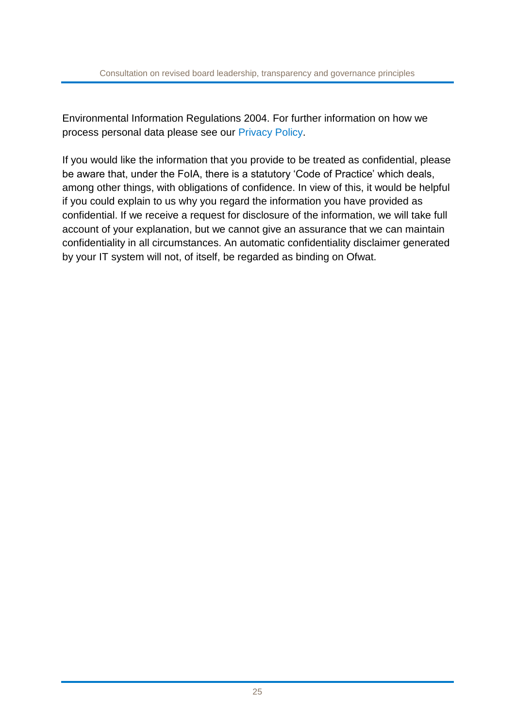Environmental Information Regulations 2004. For further information on how we process personal data please see our [Privacy Policy.](https://www.ofwat.gov.uk/wp-content/uploads/2018/05/Ofwat-2018-Privacy-Policy-May.pdf)

If you would like the information that you provide to be treated as confidential, please be aware that, under the FoIA, there is a statutory 'Code of Practice' which deals, among other things, with obligations of confidence. In view of this, it would be helpful if you could explain to us why you regard the information you have provided as confidential. If we receive a request for disclosure of the information, we will take full account of your explanation, but we cannot give an assurance that we can maintain confidentiality in all circumstances. An automatic confidentiality disclaimer generated by your IT system will not, of itself, be regarded as binding on Ofwat.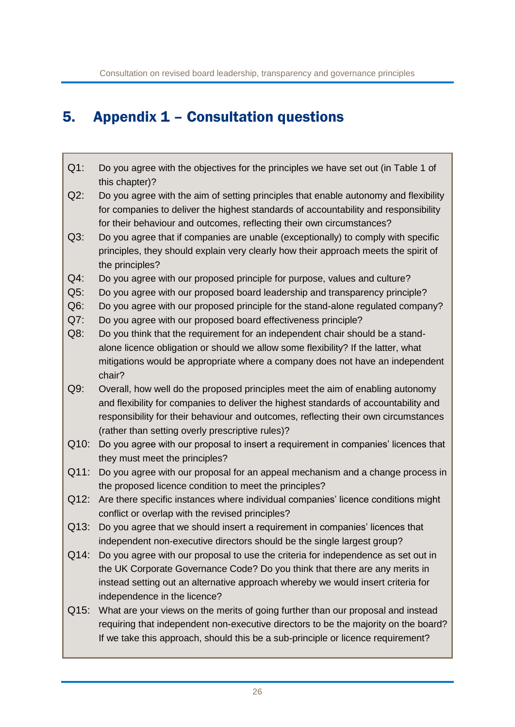# 5. Appendix 1 – Consultation questions

- Q1: Do you agree with the objectives for the principles we have set out (in Table 1 of this chapter)?
- Q2: Do you agree with the aim of setting principles that enable autonomy and flexibility for companies to deliver the highest standards of accountability and responsibility for their behaviour and outcomes, reflecting their own circumstances?
- Q3: Do you agree that if companies are unable (exceptionally) to comply with specific principles, they should explain very clearly how their approach meets the spirit of the principles?
- Q4: Do you agree with our proposed principle for purpose, values and culture?
- Q5: Do you agree with our proposed board leadership and transparency principle?
- Q6: Do you agree with our proposed principle for the stand-alone regulated company?
- Q7: Do you agree with our proposed board effectiveness principle?
- Q8: Do you think that the requirement for an independent chair should be a standalone licence obligation or should we allow some flexibility? If the latter, what mitigations would be appropriate where a company does not have an independent chair?
- Q9: Overall, how well do the proposed principles meet the aim of enabling autonomy and flexibility for companies to deliver the highest standards of accountability and responsibility for their behaviour and outcomes, reflecting their own circumstances (rather than setting overly prescriptive rules)?
- Q10: Do you agree with our proposal to insert a requirement in companies' licences that they must meet the principles?
- Q11: Do you agree with our proposal for an appeal mechanism and a change process in the proposed licence condition to meet the principles?
- Q12: Are there specific instances where individual companies' licence conditions might conflict or overlap with the revised principles?
- Q13: Do you agree that we should insert a requirement in companies' licences that independent non-executive directors should be the single largest group?
- Q14: Do you agree with our proposal to use the criteria for independence as set out in the UK Corporate Governance Code? Do you think that there are any merits in instead setting out an alternative approach whereby we would insert criteria for independence in the licence?
- Q15: What are your views on the merits of going further than our proposal and instead requiring that independent non-executive directors to be the majority on the board? If we take this approach, should this be a sub-principle or licence requirement?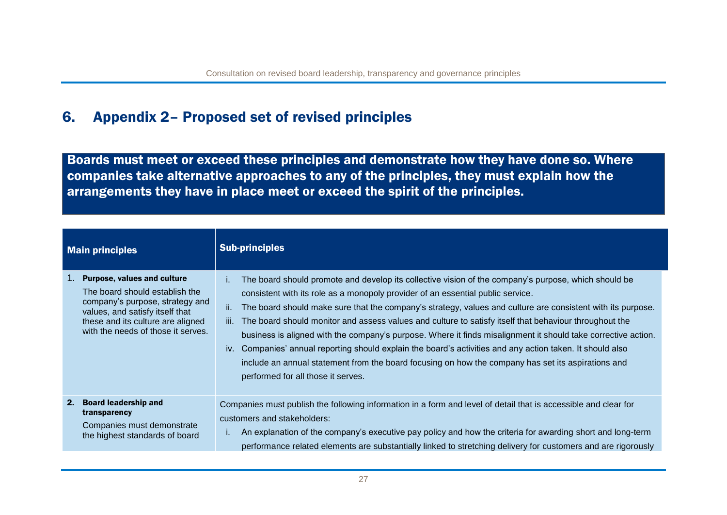# 6. Appendix 2– Proposed set of revised principles

Boards must meet or exceed these principles and demonstrate how they have done so. Where companies take alternative approaches to any of the principles, they must explain how the arrangements they have in place meet or exceed the spirit of the principles.

| <b>Main principles</b> |                                                                                                                                                                                                                       | <b>Sub-principles</b>                                                                                                                                                                                                                                                                                                                                                                                                                                                                                                                                                                                                                                                                                                                                                                                            |
|------------------------|-----------------------------------------------------------------------------------------------------------------------------------------------------------------------------------------------------------------------|------------------------------------------------------------------------------------------------------------------------------------------------------------------------------------------------------------------------------------------------------------------------------------------------------------------------------------------------------------------------------------------------------------------------------------------------------------------------------------------------------------------------------------------------------------------------------------------------------------------------------------------------------------------------------------------------------------------------------------------------------------------------------------------------------------------|
| 1.                     | <b>Purpose, values and culture</b><br>The board should establish the<br>company's purpose, strategy and<br>values, and satisfy itself that<br>these and its culture are aligned<br>with the needs of those it serves. | The board should promote and develop its collective vision of the company's purpose, which should be<br>Ĺ.<br>consistent with its role as a monopoly provider of an essential public service.<br>ii.<br>The board should make sure that the company's strategy, values and culture are consistent with its purpose.<br>The board should monitor and assess values and culture to satisfy itself that behaviour throughout the<br>TII.<br>business is aligned with the company's purpose. Where it finds misalignment it should take corrective action.<br>iv. Companies' annual reporting should explain the board's activities and any action taken. It should also<br>include an annual statement from the board focusing on how the company has set its aspirations and<br>performed for all those it serves. |
| 2 <sub>1</sub>         | <b>Board leadership and</b><br>transparency<br>Companies must demonstrate<br>the highest standards of board                                                                                                           | Companies must publish the following information in a form and level of detail that is accessible and clear for<br>customers and stakeholders:<br>An explanation of the company's executive pay policy and how the criteria for awarding short and long-term<br>performance related elements are substantially linked to stretching delivery for customers and are rigorously                                                                                                                                                                                                                                                                                                                                                                                                                                    |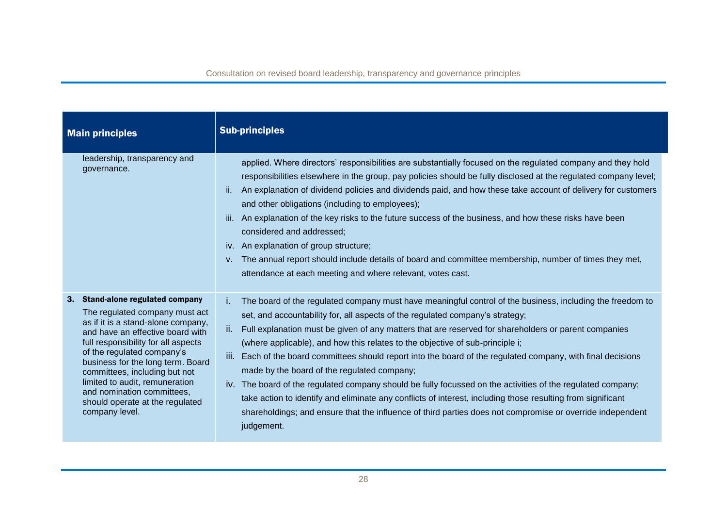| <b>Main principles</b>                                                                                                                                                                                                                                                                                                                                                                                       | <b>Sub-principles</b>                                                                                                                                                                                                                                                                                                                                                                                                                                                                                                                                                                                                                                                                                                                                                                                                                                                                                                        |
|--------------------------------------------------------------------------------------------------------------------------------------------------------------------------------------------------------------------------------------------------------------------------------------------------------------------------------------------------------------------------------------------------------------|------------------------------------------------------------------------------------------------------------------------------------------------------------------------------------------------------------------------------------------------------------------------------------------------------------------------------------------------------------------------------------------------------------------------------------------------------------------------------------------------------------------------------------------------------------------------------------------------------------------------------------------------------------------------------------------------------------------------------------------------------------------------------------------------------------------------------------------------------------------------------------------------------------------------------|
| leadership, transparency and<br>governance.                                                                                                                                                                                                                                                                                                                                                                  | applied. Where directors' responsibilities are substantially focused on the regulated company and they hold<br>responsibilities elsewhere in the group, pay policies should be fully disclosed at the regulated company level;<br>An explanation of dividend policies and dividends paid, and how these take account of delivery for customers<br>Ϊİ.<br>and other obligations (including to employees);<br>An explanation of the key risks to the future success of the business, and how these risks have been<br>ΪÏ.<br>considered and addressed;<br>iv. An explanation of group structure;<br>The annual report should include details of board and committee membership, number of times they met,<br>V.<br>attendance at each meeting and where relevant, votes cast.                                                                                                                                                  |
| 3. Stand-alone regulated company<br>The regulated company must act<br>as if it is a stand-alone company,<br>and have an effective board with<br>full responsibility for all aspects<br>of the regulated company's<br>business for the long term. Board<br>committees, including but not<br>limited to audit, remuneration<br>and nomination committees,<br>should operate at the regulated<br>company level. | The board of the regulated company must have meaningful control of the business, including the freedom to<br>Ť.<br>set, and accountability for, all aspects of the regulated company's strategy;<br>ii.<br>Full explanation must be given of any matters that are reserved for shareholders or parent companies<br>(where applicable), and how this relates to the objective of sub-principle i;<br>iii.<br>Each of the board committees should report into the board of the regulated company, with final decisions<br>made by the board of the regulated company;<br>iv. The board of the regulated company should be fully focussed on the activities of the regulated company;<br>take action to identify and eliminate any conflicts of interest, including those resulting from significant<br>shareholdings; and ensure that the influence of third parties does not compromise or override independent<br>judgement. |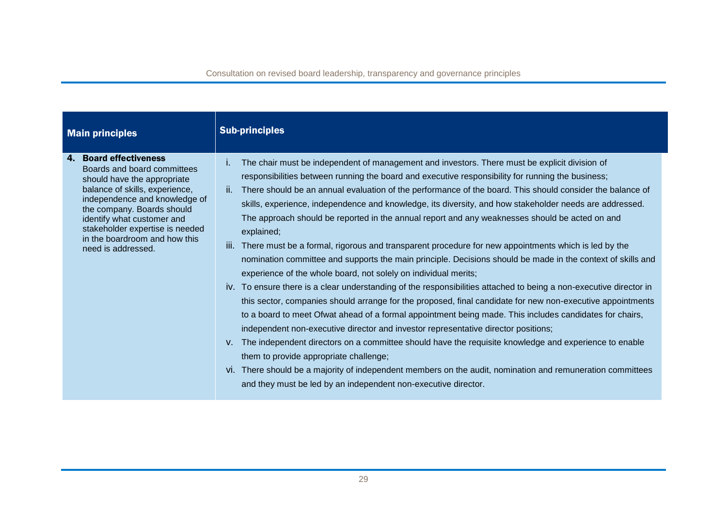| <b>Main principles</b>                                                                                                                                                                                                                                                                                                  | <b>Sub-principles</b>                                                                                                                                                                                                                                                                                                                                                                                                                                                                                                                                                                                                                                                                                                                                                                                                                                                                                                                                                                                                                                                                                                                                                                                                                                                                                                                                                                                                                                                                                                                                                                                                                  |
|-------------------------------------------------------------------------------------------------------------------------------------------------------------------------------------------------------------------------------------------------------------------------------------------------------------------------|----------------------------------------------------------------------------------------------------------------------------------------------------------------------------------------------------------------------------------------------------------------------------------------------------------------------------------------------------------------------------------------------------------------------------------------------------------------------------------------------------------------------------------------------------------------------------------------------------------------------------------------------------------------------------------------------------------------------------------------------------------------------------------------------------------------------------------------------------------------------------------------------------------------------------------------------------------------------------------------------------------------------------------------------------------------------------------------------------------------------------------------------------------------------------------------------------------------------------------------------------------------------------------------------------------------------------------------------------------------------------------------------------------------------------------------------------------------------------------------------------------------------------------------------------------------------------------------------------------------------------------------|
| <b>Board effectiveness</b><br>4.<br>Boards and board committees<br>should have the appropriate<br>balance of skills, experience,<br>independence and knowledge of<br>the company. Boards should<br>identify what customer and<br>stakeholder expertise is needed<br>in the boardroom and how this<br>need is addressed. | The chair must be independent of management and investors. There must be explicit division of<br>Τ.<br>responsibilities between running the board and executive responsibility for running the business;<br>There should be an annual evaluation of the performance of the board. This should consider the balance of<br>ΪĹ.<br>skills, experience, independence and knowledge, its diversity, and how stakeholder needs are addressed.<br>The approach should be reported in the annual report and any weaknesses should be acted on and<br>explained;<br>There must be a formal, rigorous and transparent procedure for new appointments which is led by the<br>III.<br>nomination committee and supports the main principle. Decisions should be made in the context of skills and<br>experience of the whole board, not solely on individual merits;<br>iv. To ensure there is a clear understanding of the responsibilities attached to being a non-executive director in<br>this sector, companies should arrange for the proposed, final candidate for new non-executive appointments<br>to a board to meet Ofwat ahead of a formal appointment being made. This includes candidates for chairs,<br>independent non-executive director and investor representative director positions;<br>The independent directors on a committee should have the requisite knowledge and experience to enable<br>V.<br>them to provide appropriate challenge;<br>vi. There should be a majority of independent members on the audit, nomination and remuneration committees<br>and they must be led by an independent non-executive director. |